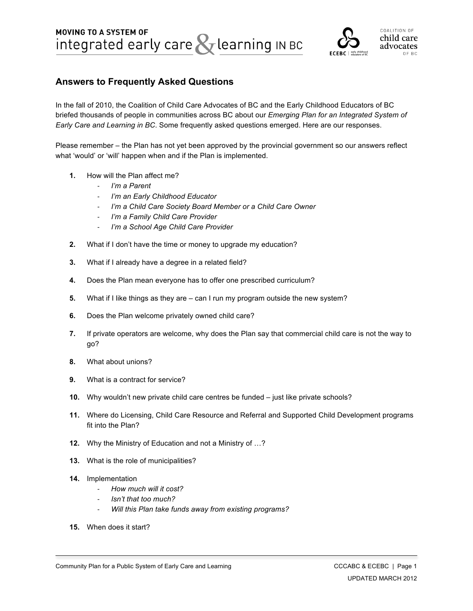

# **Answers to Frequently Asked Questions**

In the fall of 2010, the Coalition of Child Care Advocates of BC and the Early Childhood Educators of BC briefed thousands of people in communities across BC about our *Emerging Plan for an Integrated System of Early Care and Learning in BC*. Some frequently asked questions emerged. Here are our responses.

Please remember – the Plan has not yet been approved by the provincial government so our answers reflect what 'would' or 'will' happen when and if the Plan is implemented.

- **1.** How will the Plan affect me?
	- ‐ *I'm a Parent*
	- ‐ *I'm an Early Childhood Educator*
	- ‐ *I'm a Child Care Society Board Member or a Child Care Owner*
	- ‐ *I'm a Family Child Care Provider*
	- ‐ *I'm a School Age Child Care Provider*
- **2.** What if I don't have the time or money to upgrade my education?
- **3.** What if I already have a degree in a related field?
- **4.** Does the Plan mean everyone has to offer one prescribed curriculum?
- **5.** What if I like things as they are can I run my program outside the new system?
- **6.** Does the Plan welcome privately owned child care?
- **7.** If private operators are welcome, why does the Plan say that commercial child care is not the way to go?
- **8.** What about unions?
- **9.** What is a contract for service?
- **10.** Why wouldn't new private child care centres be funded just like private schools?
- **11.** Where do Licensing, Child Care Resource and Referral and Supported Child Development programs fit into the Plan?
- **12.** Why the Ministry of Education and not a Ministry of …?
- **13.** What is the role of municipalities?
- **14.** Implementation
	- ‐ *How much will it cost?*
	- ‐ *Isn't that too much?*
	- ‐ *Will this Plan take funds away from existing programs?*
- **15.** When does it start?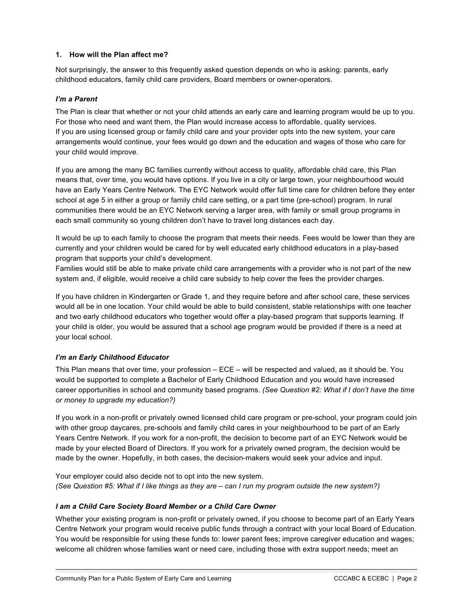## **1. How will the Plan affect me?**

Not surprisingly, the answer to this frequently asked question depends on who is asking: parents, early childhood educators, family child care providers, Board members or owner-operators.

## *I'm a Parent*

The Plan is clear that whether or not your child attends an early care and learning program would be up to you. For those who need and want them, the Plan would increase access to affordable, quality services. If you are using licensed group or family child care and your provider opts into the new system, your care arrangements would continue, your fees would go down and the education and wages of those who care for your child would improve.

If you are among the many BC families currently without access to quality, affordable child care, this Plan means that, over time, you would have options. If you live in a city or large town, your neighbourhood would have an Early Years Centre Network. The EYC Network would offer full time care for children before they enter school at age 5 in either a group or family child care setting, or a part time (pre-school) program. In rural communities there would be an EYC Network serving a larger area, with family or small group programs in each small community so young children don't have to travel long distances each day.

It would be up to each family to choose the program that meets their needs. Fees would be lower than they are currently and your children would be cared for by well educated early childhood educators in a play-based program that supports your child's development.

Families would still be able to make private child care arrangements with a provider who is not part of the new system and, if eligible, would receive a child care subsidy to help cover the fees the provider charges.

If you have children in Kindergarten or Grade 1, and they require before and after school care, these services would all be in one location. Your child would be able to build consistent, stable relationships with one teacher and two early childhood educators who together would offer a play-based program that supports learning. If your child is older, you would be assured that a school age program would be provided if there is a need at your local school.

## *I'm an Early Childhood Educator*

This Plan means that over time, your profession – ECE – will be respected and valued, as it should be. You would be supported to complete a Bachelor of Early Childhood Education and you would have increased career opportunities in school and community based programs. *(See Question #2: What if I don't have the time or money to upgrade my education?)*

If you work in a non-profit or privately owned licensed child care program or pre-school, your program could join with other group daycares, pre-schools and family child cares in your neighbourhood to be part of an Early Years Centre Network. If you work for a non-profit, the decision to become part of an EYC Network would be made by your elected Board of Directors. If you work for a privately owned program, the decision would be made by the owner. Hopefully, in both cases, the decision-makers would seek your advice and input.

Your employer could also decide not to opt into the new system. (See Question #5: What if I like things as they are – can I run my program outside the new system?)

## *I am a Child Care Society Board Member or a Child Care Owner*

Whether your existing program is non-profit or privately owned, if you choose to become part of an Early Years Centre Network your program would receive public funds through a contract with your local Board of Education. You would be responsible for using these funds to: lower parent fees; improve caregiver education and wages; welcome all children whose families want or need care, including those with extra support needs; meet an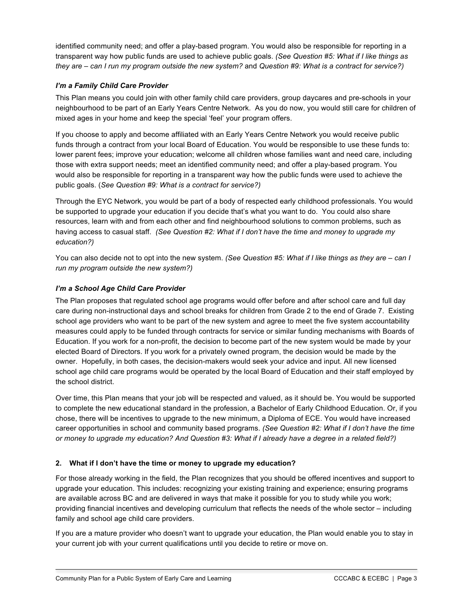identified community need; and offer a play-based program. You would also be responsible for reporting in a transparent way how public funds are used to achieve public goals. *(See Question #5: What if I like things as* they are – can I run my program outside the new system? and Question #9: What is a contract for service?)

## *I'm a Family Child Care Provider*

This Plan means you could join with other family child care providers, group daycares and pre-schools in your neighbourhood to be part of an Early Years Centre Network. As you do now, you would still care for children of mixed ages in your home and keep the special 'feel' your program offers.

If you choose to apply and become affiliated with an Early Years Centre Network you would receive public funds through a contract from your local Board of Education. You would be responsible to use these funds to: lower parent fees; improve your education; welcome all children whose families want and need care, including those with extra support needs; meet an identified community need; and offer a play-based program. You would also be responsible for reporting in a transparent way how the public funds were used to achieve the public goals. (*See Question #9: What is a contract for service?)*

Through the EYC Network, you would be part of a body of respected early childhood professionals. You would be supported to upgrade your education if you decide that's what you want to do. You could also share resources, learn with and from each other and find neighbourhood solutions to common problems, such as having access to casual staff. *(See Question #2: What if I don't have the time and money to upgrade my education?)*

You can also decide not to opt into the new system. *(See Question #5: What if I like things as they are – can I run my program outside the new system?)*

## *I'm a School Age Child Care Provider*

The Plan proposes that regulated school age programs would offer before and after school care and full day care during non-instructional days and school breaks for children from Grade 2 to the end of Grade 7. Existing school age providers who want to be part of the new system and agree to meet the five system accountability measures could apply to be funded through contracts for service or similar funding mechanisms with Boards of Education. If you work for a non-profit, the decision to become part of the new system would be made by your elected Board of Directors. If you work for a privately owned program, the decision would be made by the owner. Hopefully, in both cases, the decision-makers would seek your advice and input. All new licensed school age child care programs would be operated by the local Board of Education and their staff employed by the school district.

Over time, this Plan means that your job will be respected and valued, as it should be. You would be supported to complete the new educational standard in the profession, a Bachelor of Early Childhood Education. Or, if you chose, there will be incentives to upgrade to the new minimum, a Diploma of ECE. You would have increased career opportunities in school and community based programs. *(See Question #2: What if I don't have the time* or money to upgrade my education? And Question #3: What if I already have a degree in a related field?)

## **2. What if I don't have the time or money to upgrade my education?**

For those already working in the field, the Plan recognizes that you should be offered incentives and support to upgrade your education. This includes: recognizing your existing training and experience; ensuring programs are available across BC and are delivered in ways that make it possible for you to study while you work; providing financial incentives and developing curriculum that reflects the needs of the whole sector – including family and school age child care providers.

If you are a mature provider who doesn't want to upgrade your education, the Plan would enable you to stay in your current job with your current qualifications until you decide to retire or move on.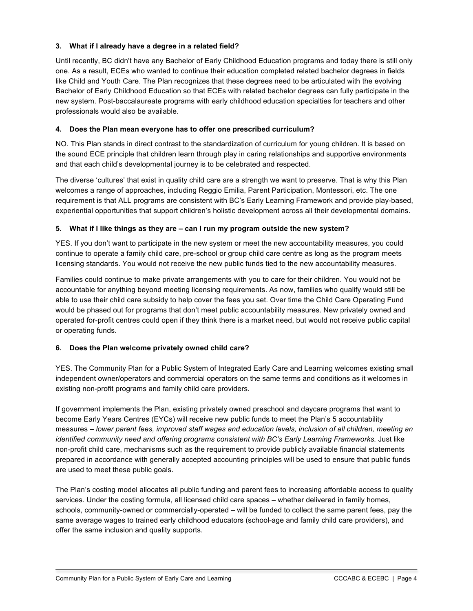## **3. What if I already have a degree in a related field?**

Until recently, BC didn't have any Bachelor of Early Childhood Education programs and today there is still only one. As a result, ECEs who wanted to continue their education completed related bachelor degrees in fields like Child and Youth Care. The Plan recognizes that these degrees need to be articulated with the evolving Bachelor of Early Childhood Education so that ECEs with related bachelor degrees can fully participate in the new system. Post-baccalaureate programs with early childhood education specialties for teachers and other professionals would also be available.

## **4. Does the Plan mean everyone has to offer one prescribed curriculum?**

NO. This Plan stands in direct contrast to the standardization of curriculum for young children. It is based on the sound ECE principle that children learn through play in caring relationships and supportive environments and that each child's developmental journey is to be celebrated and respected.

The diverse 'cultures' that exist in quality child care are a strength we want to preserve. That is why this Plan welcomes a range of approaches, including Reggio Emilia, Parent Participation, Montessori, etc. The one requirement is that ALL programs are consistent with BC's Early Learning Framework and provide play-based, experiential opportunities that support children's holistic development across all their developmental domains.

## **5. What if I like things as they are – can I run my program outside the new system?**

YES. If you don't want to participate in the new system or meet the new accountability measures, you could continue to operate a family child care, pre-school or group child care centre as long as the program meets licensing standards. You would not receive the new public funds tied to the new accountability measures.

Families could continue to make private arrangements with you to care for their children. You would not be accountable for anything beyond meeting licensing requirements. As now, families who qualify would still be able to use their child care subsidy to help cover the fees you set. Over time the Child Care Operating Fund would be phased out for programs that don't meet public accountability measures. New privately owned and operated for-profit centres could open if they think there is a market need, but would not receive public capital or operating funds.

## **6. Does the Plan welcome privately owned child care?**

YES. The Community Plan for a Public System of Integrated Early Care and Learning welcomes existing small independent owner/operators and commercial operators on the same terms and conditions as it welcomes in existing non-profit programs and family child care providers.

If government implements the Plan, existing privately owned preschool and daycare programs that want to become Early Years Centres (EYCs) will receive new public funds to meet the Plan's 5 accountability measures – *lower parent fees, improved staff wages and education levels, inclusion of all children, meeting an identified community need and offering programs consistent with BC's Early Learning Frameworks.* Just like non-profit child care, mechanisms such as the requirement to provide publicly available financial statements prepared in accordance with generally accepted accounting principles will be used to ensure that public funds are used to meet these public goals.

The Plan's costing model allocates all public funding and parent fees to increasing affordable access to quality services. Under the costing formula, all licensed child care spaces – whether delivered in family homes, schools, community-owned or commercially-operated – will be funded to collect the same parent fees, pay the same average wages to trained early childhood educators (school-age and family child care providers), and offer the same inclusion and quality supports.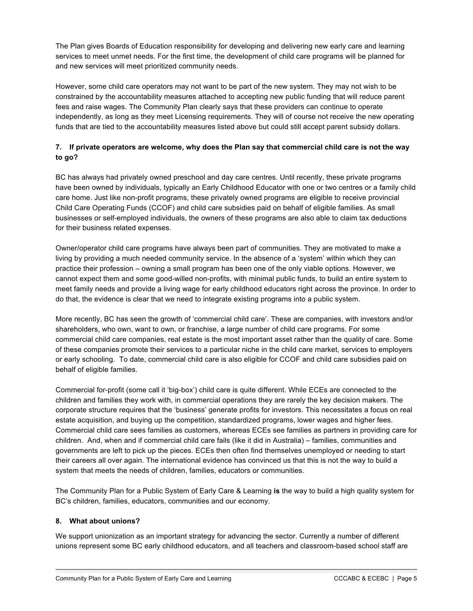The Plan gives Boards of Education responsibility for developing and delivering new early care and learning services to meet unmet needs. For the first time, the development of child care programs will be planned for and new services will meet prioritized community needs.

However, some child care operators may not want to be part of the new system. They may not wish to be constrained by the accountability measures attached to accepting new public funding that will reduce parent fees and raise wages. The Community Plan clearly says that these providers can continue to operate independently, as long as they meet Licensing requirements. They will of course not receive the new operating funds that are tied to the accountability measures listed above but could still accept parent subsidy dollars.

## 7. If private operators are welcome, why does the Plan say that commercial child care is not the way **to go?**

BC has always had privately owned preschool and day care centres. Until recently, these private programs have been owned by individuals, typically an Early Childhood Educator with one or two centres or a family child care home. Just like non-profit programs, these privately owned programs are eligible to receive provincial Child Care Operating Funds (CCOF) and child care subsidies paid on behalf of eligible families. As small businesses or self-employed individuals, the owners of these programs are also able to claim tax deductions for their business related expenses.

Owner/operator child care programs have always been part of communities. They are motivated to make a living by providing a much needed community service. In the absence of a 'system' within which they can practice their profession – owning a small program has been one of the only viable options. However, we cannot expect them and some good-willed non-profits, with minimal public funds, to build an entire system to meet family needs and provide a living wage for early childhood educators right across the province. In order to do that, the evidence is clear that we need to integrate existing programs into a public system.

More recently, BC has seen the growth of 'commercial child care'. These are companies, with investors and/or shareholders, who own, want to own, or franchise, a large number of child care programs. For some commercial child care companies, real estate is the most important asset rather than the quality of care. Some of these companies promote their services to a particular niche in the child care market, services to employers or early schooling. To date, commercial child care is also eligible for CCOF and child care subsidies paid on behalf of eligible families.

Commercial for-profit (some call it 'big-box') child care is quite different. While ECEs are connected to the children and families they work with, in commercial operations they are rarely the key decision makers. The corporate structure requires that the 'business' generate profits for investors. This necessitates a focus on real estate acquisition, and buying up the competition, standardized programs, lower wages and higher fees. Commercial child care sees families as customers, whereas ECEs see families as partners in providing care for children. And, when and if commercial child care fails (like it did in Australia) – families, communities and governments are left to pick up the pieces. ECEs then often find themselves unemployed or needing to start their careers all over again. The international evidence has convinced us that this is not the way to build a system that meets the needs of children, families, educators or communities.

The Community Plan for a Public System of Early Care & Learning **is** the way to build a high quality system for BC's children, families, educators, communities and our economy.

## **8. What about unions?**

We support unionization as an important strategy for advancing the sector. Currently a number of different unions represent some BC early childhood educators, and all teachers and classroom-based school staff are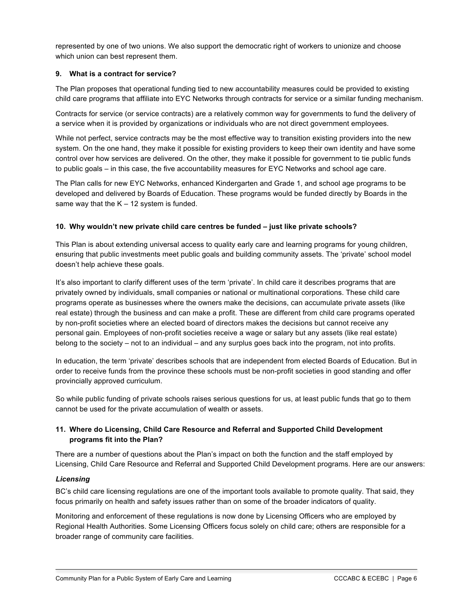represented by one of two unions. We also support the democratic right of workers to unionize and choose which union can best represent them.

## **9. What is a contract for service?**

The Plan proposes that operational funding tied to new accountability measures could be provided to existing child care programs that affiliate into EYC Networks through contracts for service or a similar funding mechanism.

Contracts for service (or service contracts) are a relatively common way for governments to fund the delivery of a service when it is provided by organizations or individuals who are not direct government employees.

While not perfect, service contracts may be the most effective way to transition existing providers into the new system. On the one hand, they make it possible for existing providers to keep their own identity and have some control over how services are delivered. On the other, they make it possible for government to tie public funds to public goals – in this case, the five accountability measures for EYC Networks and school age care.

The Plan calls for new EYC Networks, enhanced Kindergarten and Grade 1, and school age programs to be developed and delivered by Boards of Education. These programs would be funded directly by Boards in the same way that the  $K - 12$  system is funded.

## **10. Why wouldn't new private child care centres be funded – just like private schools?**

This Plan is about extending universal access to quality early care and learning programs for young children, ensuring that public investments meet public goals and building community assets. The 'private' school model doesn't help achieve these goals.

It's also important to clarify different uses of the term 'private'. In child care it describes programs that are privately owned by individuals, small companies or national or multinational corporations. These child care programs operate as businesses where the owners make the decisions, can accumulate private assets (like real estate) through the business and can make a profit. These are different from child care programs operated by non-profit societies where an elected board of directors makes the decisions but cannot receive any personal gain. Employees of non-profit societies receive a wage or salary but any assets (like real estate) belong to the society – not to an individual – and any surplus goes back into the program, not into profits.

In education, the term 'private' describes schools that are independent from elected Boards of Education. But in order to receive funds from the province these schools must be non-profit societies in good standing and offer provincially approved curriculum.

So while public funding of private schools raises serious questions for us, at least public funds that go to them cannot be used for the private accumulation of wealth or assets.

## **11. Where do Licensing, Child Care Resource and Referral and Supported Child Development programs fit into the Plan?**

There are a number of questions about the Plan's impact on both the function and the staff employed by Licensing, Child Care Resource and Referral and Supported Child Development programs. Here are our answers:

## *Licensing*

BC's child care licensing regulations are one of the important tools available to promote quality. That said, they focus primarily on health and safety issues rather than on some of the broader indicators of quality.

Monitoring and enforcement of these regulations is now done by Licensing Officers who are employed by Regional Health Authorities. Some Licensing Officers focus solely on child care; others are responsible for a broader range of community care facilities.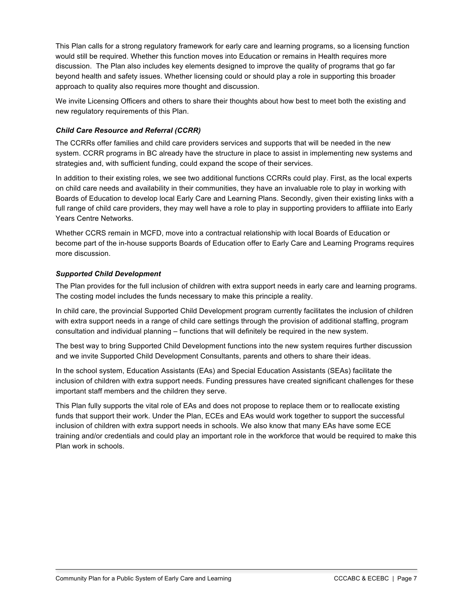This Plan calls for a strong regulatory framework for early care and learning programs, so a licensing function would still be required. Whether this function moves into Education or remains in Health requires more discussion. The Plan also includes key elements designed to improve the quality of programs that go far beyond health and safety issues. Whether licensing could or should play a role in supporting this broader approach to quality also requires more thought and discussion.

We invite Licensing Officers and others to share their thoughts about how best to meet both the existing and new regulatory requirements of this Plan.

## *Child Care Resource and Referral (CCRR)*

The CCRRs offer families and child care providers services and supports that will be needed in the new system. CCRR programs in BC already have the structure in place to assist in implementing new systems and strategies and, with sufficient funding, could expand the scope of their services.

In addition to their existing roles, we see two additional functions CCRRs could play. First, as the local experts on child care needs and availability in their communities, they have an invaluable role to play in working with Boards of Education to develop local Early Care and Learning Plans. Secondly, given their existing links with a full range of child care providers, they may well have a role to play in supporting providers to affiliate into Early Years Centre Networks.

Whether CCRS remain in MCFD, move into a contractual relationship with local Boards of Education or become part of the in-house supports Boards of Education offer to Early Care and Learning Programs requires more discussion.

## *Supported Child Development*

The Plan provides for the full inclusion of children with extra support needs in early care and learning programs. The costing model includes the funds necessary to make this principle a reality.

In child care, the provincial Supported Child Development program currently facilitates the inclusion of children with extra support needs in a range of child care settings through the provision of additional staffing, program consultation and individual planning – functions that will definitely be required in the new system.

The best way to bring Supported Child Development functions into the new system requires further discussion and we invite Supported Child Development Consultants, parents and others to share their ideas.

In the school system, Education Assistants (EAs) and Special Education Assistants (SEAs) facilitate the inclusion of children with extra support needs. Funding pressures have created significant challenges for these important staff members and the children they serve.

This Plan fully supports the vital role of EAs and does not propose to replace them or to reallocate existing funds that support their work. Under the Plan, ECEs and EAs would work together to support the successful inclusion of children with extra support needs in schools. We also know that many EAs have some ECE training and/or credentials and could play an important role in the workforce that would be required to make this Plan work in schools.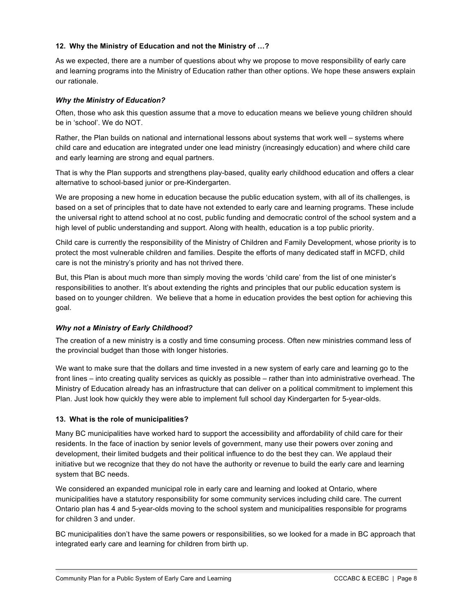## **12. Why the Ministry of Education and not the Ministry of …?**

As we expected, there are a number of questions about why we propose to move responsibility of early care and learning programs into the Ministry of Education rather than other options. We hope these answers explain our rationale.

## *Why the Ministry of Education?*

Often, those who ask this question assume that a move to education means we believe young children should be in 'school'. We do NOT.

Rather, the Plan builds on national and international lessons about systems that work well – systems where child care and education are integrated under one lead ministry (increasingly education) and where child care and early learning are strong and equal partners.

That is why the Plan supports and strengthens play-based, quality early childhood education and offers a clear alternative to school-based junior or pre-Kindergarten.

We are proposing a new home in education because the public education system, with all of its challenges, is based on a set of principles that to date have not extended to early care and learning programs. These include the universal right to attend school at no cost, public funding and democratic control of the school system and a high level of public understanding and support. Along with health, education is a top public priority.

Child care is currently the responsibility of the Ministry of Children and Family Development, whose priority is to protect the most vulnerable children and families. Despite the efforts of many dedicated staff in MCFD, child care is not the ministry's priority and has not thrived there.

But, this Plan is about much more than simply moving the words 'child care' from the list of one minister's responsibilities to another. It's about extending the rights and principles that our public education system is based on to younger children. We believe that a home in education provides the best option for achieving this goal.

## *Why not a Ministry of Early Childhood?*

The creation of a new ministry is a costly and time consuming process. Often new ministries command less of the provincial budget than those with longer histories.

We want to make sure that the dollars and time invested in a new system of early care and learning go to the front lines – into creating quality services as quickly as possible – rather than into administrative overhead. The Ministry of Education already has an infrastructure that can deliver on a political commitment to implement this Plan. Just look how quickly they were able to implement full school day Kindergarten for 5-year-olds.

## **13. What is the role of municipalities?**

Many BC municipalities have worked hard to support the accessibility and affordability of child care for their residents. In the face of inaction by senior levels of government, many use their powers over zoning and development, their limited budgets and their political influence to do the best they can. We applaud their initiative but we recognize that they do not have the authority or revenue to build the early care and learning system that BC needs.

We considered an expanded municipal role in early care and learning and looked at Ontario, where municipalities have a statutory responsibility for some community services including child care. The current Ontario plan has 4 and 5-year-olds moving to the school system and municipalities responsible for programs for children 3 and under.

BC municipalities don't have the same powers or responsibilities, so we looked for a made in BC approach that integrated early care and learning for children from birth up.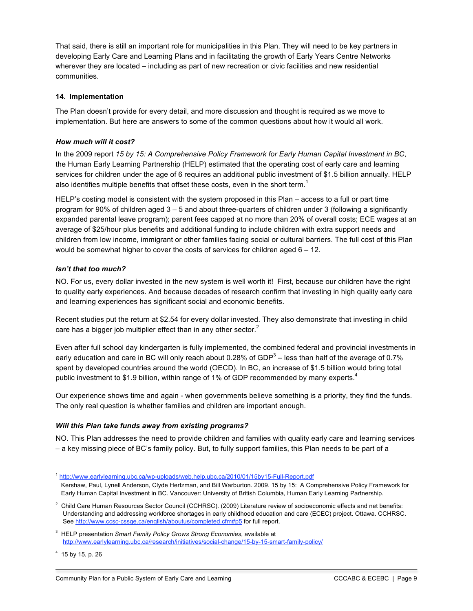That said, there is still an important role for municipalities in this Plan. They will need to be key partners in developing Early Care and Learning Plans and in facilitating the growth of Early Years Centre Networks wherever they are located – including as part of new recreation or civic facilities and new residential communities.

## **14. Implementation**

The Plan doesn't provide for every detail, and more discussion and thought is required as we move to implementation. But here are answers to some of the common questions about how it would all work.

## *How much will it cost?*

In the 2009 report *15 by 15: A Comprehensive Policy Framework for Early Human Capital Investment in BC*, the Human Early Learning Partnership (HELP) estimated that the operating cost of early care and learning services for children under the age of 6 requires an additional public investment of \$1.5 billion annually. HELP also identifies multiple benefits that offset these costs, even in the short term.<sup>1</sup>

HELP's costing model is consistent with the system proposed in this Plan – access to a full or part time program for 90% of children aged 3 – 5 and about three-quarters of children under 3 (following a significantly expanded parental leave program); parent fees capped at no more than 20% of overall costs; ECE wages at an average of \$25/hour plus benefits and additional funding to include children with extra support needs and children from low income, immigrant or other families facing social or cultural barriers. The full cost of this Plan would be somewhat higher to cover the costs of services for children aged 6 – 12.

## *Isn't that too much?*

NO. For us, every dollar invested in the new system is well worth it! First, because our children have the right to quality early experiences. And because decades of research confirm that investing in high quality early care and learning experiences has significant social and economic benefits.

Recent studies put the return at \$2.54 for every dollar invested. They also demonstrate that investing in child care has a bigger job multiplier effect than in any other sector.<sup>2</sup>

Even after full school day kindergarten is fully implemented, the combined federal and provincial investments in early education and care in BC will only reach about 0.28% of GDP<sup>3</sup> – less than half of the average of 0.7% spent by developed countries around the world (OECD). In BC, an increase of \$1.5 billion would bring total public investment to \$1.9 billion, within range of 1% of GDP recommended by many experts.<sup>4</sup>

Our experience shows time and again - when governments believe something is a priority, they find the funds. The only real question is whether families and children are important enough.

## *Will this Plan take funds away from existing programs?*

NO. This Plan addresses the need to provide children and families with quality early care and learning services – a key missing piece of BC's family policy. But, to fully support families, this Plan needs to be part of a

 $4$  15 by 15, p. 26

 <sup>1</sup> http://www.earlylearning.ubc.ca/wp-uploads/web.help.ubc.ca/2010/01/15by15-Full-Report.pdf Kershaw, Paul, Lynell Anderson, Clyde Hertzman, and Bill Warburton. 2009. 15 by 15: A Comprehensive Policy Framework for Early Human Capital Investment in BC. Vancouver: University of British Columbia, Human Early Learning Partnership.

 $2$  Child Care Human Resources Sector Council (CCHRSC). (2009) Literature review of socioeconomic effects and net benefits: Understanding and addressing workforce shortages in early childhood education and care (ECEC) project. Ottawa. CCHRSC. See http://www.ccsc-cssge.ca/english/aboutus/completed.cfm#p5 for full report.

<sup>3</sup> HELP presentation *Smart Family Policy Grows Strong Economies*, available at http://www.earlylearning.ubc.ca/research/initiatives/social-change/15-by-15-smart-family-policy/